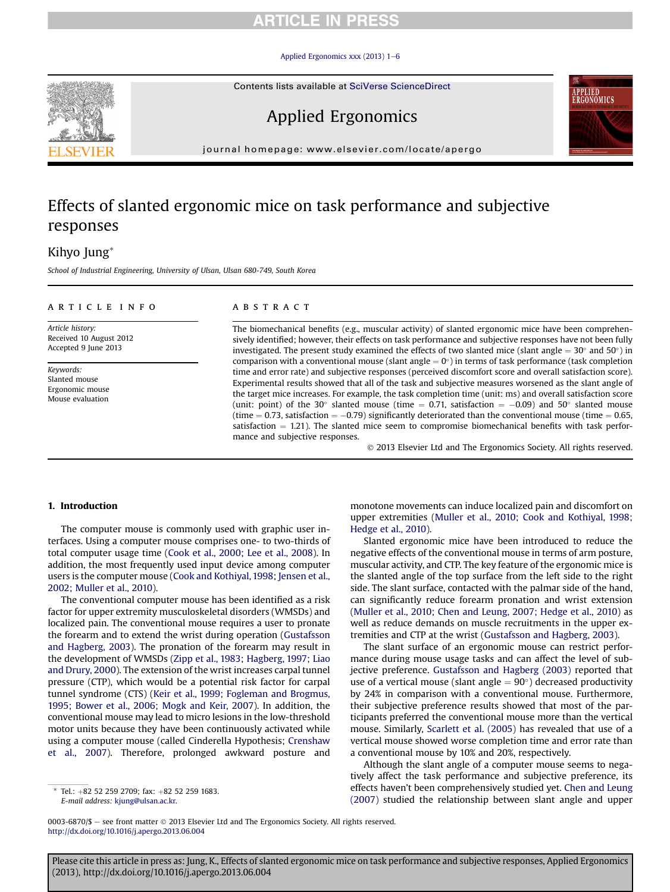### **RTICLE IN PRESS**

#### [Applied Ergonomics xxx \(2013\) 1](http://dx.doi.org/10.1016/j.apergo.2013.06.004)-[6](http://dx.doi.org/10.1016/j.apergo.2013.06.004)



Applied Ergonomics



journal homepage: [www.elsevier.com/locate/apergo](http://www.elsevier.com/locate/apergo)

## Effects of slanted ergonomic mice on task performance and subjective responses

### Kihyo Jung\*

School of Industrial Engineering, University of Ulsan, Ulsan 680-749, South Korea

### article info

Article history: Received 10 August 2012 Accepted 9 June 2013

Keywords: Slanted mouse Ergonomic mouse Mouse evaluation

#### **ABSTRACT**

The biomechanical benefits (e.g., muscular activity) of slanted ergonomic mice have been comprehensively identified; however, their effects on task performance and subjective responses have not been fully investigated. The present study examined the effects of two slanted mice (slant angle  $= 30^{\circ}$  and  $50^{\circ}$ ) in comparison with a conventional mouse (slant angle  $= 0^{\circ}$ ) in terms of task performance (task completion time and error rate) and subjective responses (perceived discomfort score and overall satisfaction score). Experimental results showed that all of the task and subjective measures worsened as the slant angle of the target mice increases. For example, the task completion time (unit: ms) and overall satisfaction score (unit: point) of the 30 $^{\circ}$  slanted mouse (time = 0.71, satisfaction = -0.09) and 50 $^{\circ}$  slanted mouse (time  $= 0.73$ , satisfaction  $= -0.79$ ) significantly deteriorated than the conventional mouse (time  $= 0.65$ , satisfaction  $= 1.21$ ). The slanted mice seem to compromise biomechanical benefits with task performance and subjective responses.

2013 Elsevier Ltd and The Ergonomics Society. All rights reserved.

### 1. Introduction

The computer mouse is commonly used with graphic user interfaces. Using a computer mouse comprises one- to two-thirds of total computer usage time ([Cook et al., 2000; Lee et al., 2008](#page--1-0)). In addition, the most frequently used input device among computer users is the computer mouse [\(Cook and Kothiyal, 1998](#page--1-0); [Jensen et al.,](#page--1-0) [2002; Muller et al., 2010](#page--1-0)).

The conventional computer mouse has been identified as a risk factor for upper extremity musculoskeletal disorders (WMSDs) and localized pain. The conventional mouse requires a user to pronate the forearm and to extend the wrist during operation [\(Gustafsson](#page--1-0) [and Hagberg, 2003](#page--1-0)). The pronation of the forearm may result in the development of WMSDs [\(Zipp et al., 1983](#page--1-0); [Hagberg, 1997](#page--1-0); [Liao](#page--1-0) [and Drury, 2000](#page--1-0)). The extension of the wrist increases carpal tunnel pressure (CTP), which would be a potential risk factor for carpal tunnel syndrome (CTS) ([Keir et al., 1999; Fogleman and Brogmus,](#page--1-0) [1995; Bower et al., 2006; Mogk and Keir, 2007\)](#page--1-0). In addition, the conventional mouse may lead to micro lesions in the low-threshold motor units because they have been continuously activated while using a computer mouse (called Cinderella Hypothesis; [Crenshaw](#page--1-0) [et al., 2007](#page--1-0)). Therefore, prolonged awkward posture and

monotone movements can induce localized pain and discomfort on upper extremities ([Muller et al., 2010; Cook and Kothiyal, 1998;](#page--1-0) [Hedge et al., 2010\)](#page--1-0).

Slanted ergonomic mice have been introduced to reduce the negative effects of the conventional mouse in terms of arm posture, muscular activity, and CTP. The key feature of the ergonomic mice is the slanted angle of the top surface from the left side to the right side. The slant surface, contacted with the palmar side of the hand, can significantly reduce forearm pronation and wrist extension ([Muller et al., 2010; Chen and Leung, 2007; Hedge et al., 2010\)](#page--1-0) as well as reduce demands on muscle recruitments in the upper extremities and CTP at the wrist ([Gustafsson and Hagberg, 2003](#page--1-0)).

The slant surface of an ergonomic mouse can restrict performance during mouse usage tasks and can affect the level of subjective preference. [Gustafsson and Hagberg \(2003\)](#page--1-0) reported that use of a vertical mouse (slant angle  $= 90^{\circ}$ ) decreased productivity by 24% in comparison with a conventional mouse. Furthermore, their subjective preference results showed that most of the participants preferred the conventional mouse more than the vertical mouse. Similarly, [Scarlett et al. \(2005\)](#page--1-0) has revealed that use of a vertical mouse showed worse completion time and error rate than a conventional mouse by 10% and 20%, respectively.

Although the slant angle of a computer mouse seems to negatively affect the task performance and subjective preference, its effects haven't been comprehensively studied yet. [Chen and Leung](#page--1-0) [\(2007\)](#page--1-0) studied the relationship between slant angle and upper

0003-6870/\$  $-$  see front matter  $\odot$  2013 Elsevier Ltd and The Ergonomics Society. All rights reserved. <http://dx.doi.org/10.1016/j.apergo.2013.06.004>

Please cite this article in press as: Jung, K., Effects of slanted ergonomic mice on task performance and subjective responses, Applied Ergonomics (2013), http://dx.doi.org/10.1016/j.apergo.2013.06.004

Tel.: +82 52 259 2709; fax: +82 52 259 1683. E-mail address: [kjung@ulsan.ac.kr](mailto:kjung@ulsan.ac.kr).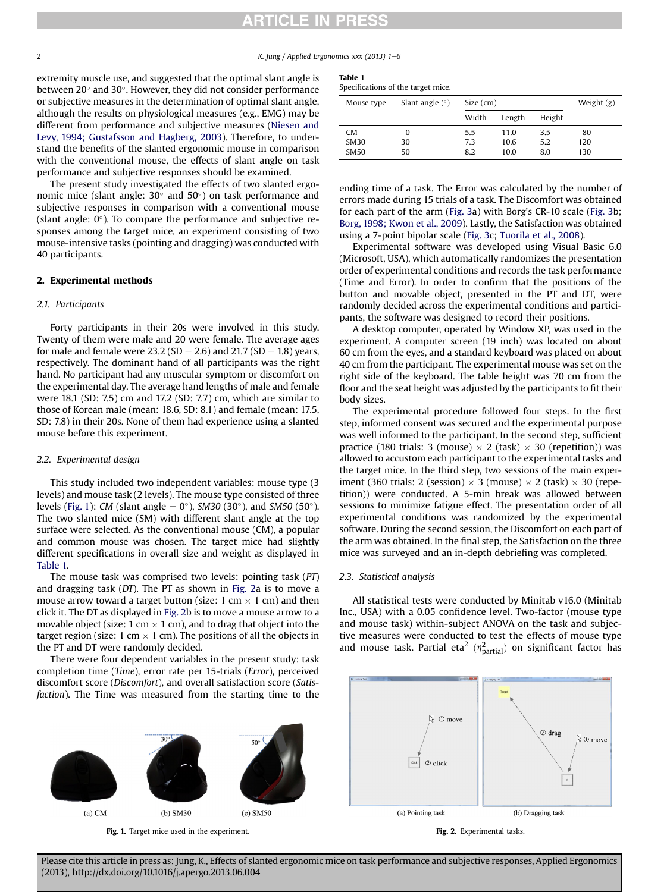### **RTICLE IN PRESS**

2  $\mu$  K. Iung / Applied Ergonomics xxx (2013) 1–6

extremity muscle use, and suggested that the optimal slant angle is between 20 $^{\circ}$  and 30 $^{\circ}$ . However, they did not consider performance or subjective measures in the determination of optimal slant angle, although the results on physiological measures (e.g., EMG) may be different from performance and subjective measures [\(Niesen and](#page--1-0) [Levy, 1994; Gustafsson and Hagberg, 2003](#page--1-0)). Therefore, to understand the benefits of the slanted ergonomic mouse in comparison with the conventional mouse, the effects of slant angle on task performance and subjective responses should be examined.

The present study investigated the effects of two slanted ergonomic mice (slant angle: 30 $^{\circ}$  and 50 $^{\circ}$ ) on task performance and subjective responses in comparison with a conventional mouse (slant angle:  $0^\circ$ ). To compare the performance and subjective responses among the target mice, an experiment consisting of two mouse-intensive tasks (pointing and dragging) was conducted with 40 participants.

### 2. Experimental methods

### 2.1. Participants

Forty participants in their 20s were involved in this study. Twenty of them were male and 20 were female. The average ages for male and female were 23.2 (SD = 2.6) and 21.7 (SD = 1.8) years, respectively. The dominant hand of all participants was the right hand. No participant had any muscular symptom or discomfort on the experimental day. The average hand lengths of male and female were 18.1 (SD: 7.5) cm and 17.2 (SD: 7.7) cm, which are similar to those of Korean male (mean: 18.6, SD: 8.1) and female (mean: 17.5, SD: 7.8) in their 20s. None of them had experience using a slanted mouse before this experiment.

### 2.2. Experimental design

This study included two independent variables: mouse type (3 levels) and mouse task (2 levels). The mouse type consisted of three levels (Fig. 1): CM (slant angle  $= 0^{\circ}$ ), SM30 (30 $^{\circ}$ ), and SM50 (50 $^{\circ}$ ). The two slanted mice (SM) with different slant angle at the top surface were selected. As the conventional mouse (CM), a popular and common mouse was chosen. The target mice had slightly different specifications in overall size and weight as displayed in Table 1.

The mouse task was comprised two levels: pointing task (PT) and dragging task (DT). The PT as shown in Fig. 2a is to move a mouse arrow toward a target button (size: 1 cm  $\times$  1 cm) and then click it. The DT as displayed in Fig. 2b is to move a mouse arrow to a movable object (size: 1 cm  $\times$  1 cm), and to drag that object into the target region (size: 1 cm  $\times$  1 cm). The positions of all the objects in the PT and DT were randomly decided.

There were four dependent variables in the present study: task completion time (Time), error rate per 15-trials (Error), perceived discomfort score (Discomfort), and overall satisfaction score (Satisfaction). The Time was measured from the starting time to the



Fig. 1. Target mice used in the experiment.

| . .<br>$\sim$ |  |
|---------------|--|
|---------------|--|

| Specifications of the target mice. |  |  |  |
|------------------------------------|--|--|--|
|------------------------------------|--|--|--|

| Mouse type  | Slant angle $(°)$ | Size (cm) |        |        | Weight $(g)$ |
|-------------|-------------------|-----------|--------|--------|--------------|
|             |                   | Width     | Length | Height |              |
| <b>CM</b>   | 0                 | 5.5       | 11.0   | 3.5    | 80           |
| SM30        | 30                | 7.3       | 10.6   | 5.2    | 120          |
| <b>SM50</b> | 50                | 8.2       | 10.0   | 8.0    | 130          |

ending time of a task. The Error was calculated by the number of errors made during 15 trials of a task. The Discomfort was obtained for each part of the arm ([Fig. 3a](#page--1-0)) with Borg's CR-10 scale ([Fig. 3](#page--1-0)b; [Borg, 1998; Kwon et al., 2009\)](#page--1-0). Lastly, the Satisfaction was obtained using a 7-point bipolar scale [\(Fig. 3](#page--1-0)c; [Tuorila et al., 2008\)](#page--1-0).

Experimental software was developed using Visual Basic 6.0 (Microsoft, USA), which automatically randomizes the presentation order of experimental conditions and records the task performance (Time and Error). In order to confirm that the positions of the button and movable object, presented in the PT and DT, were randomly decided across the experimental conditions and participants, the software was designed to record their positions.

A desktop computer, operated by Window XP, was used in the experiment. A computer screen (19 inch) was located on about 60 cm from the eyes, and a standard keyboard was placed on about 40 cm from the participant. The experimental mouse was set on the right side of the keyboard. The table height was 70 cm from the floor and the seat height was adjusted by the participants to fit their body sizes.

The experimental procedure followed four steps. In the first step, informed consent was secured and the experimental purpose was well informed to the participant. In the second step, sufficient practice (180 trials: 3 (mouse)  $\times$  2 (task)  $\times$  30 (repetition)) was allowed to accustom each participant to the experimental tasks and the target mice. In the third step, two sessions of the main experiment (360 trials: 2 (session)  $\times$  3 (mouse)  $\times$  2 (task)  $\times$  30 (repetition)) were conducted. A 5-min break was allowed between sessions to minimize fatigue effect. The presentation order of all experimental conditions was randomized by the experimental software. During the second session, the Discomfort on each part of the arm was obtained. In the final step, the Satisfaction on the three mice was surveyed and an in-depth debriefing was completed.

#### 2.3. Statistical analysis

All statistical tests were conducted by Minitab v16.0 (Minitab Inc., USA) with a 0.05 confidence level. Two-factor (mouse type and mouse task) within-subject ANOVA on the task and subjective measures were conducted to test the effects of mouse type and mouse task. Partial eta<sup>2</sup> ( $\eta_{\text{partial}}^2$ ) on significant factor has





Please cite this article in press as: Jung, K., Effects of slanted ergonomic mice on task performance and subjective responses, Applied Ergonomics (2013), http://dx.doi.org/10.1016/j.apergo.2013.06.004